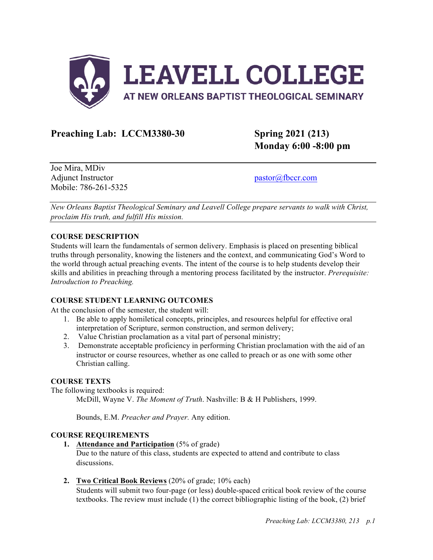

# **Preaching Lab: LCCM3380-30 Spring 2021 (213)**

**Monday 6:00 -8:00 pm**

Joe Mira, MDiv Adjunct Instructor pastor pastor pastor and pastor pastor and pastor and pastor and pastor and pastor and pastor and pastor and pastor and pastor and pastor and pastor and pastor and pastor and pastor and pastor and pastor Mobile: 786-261-5325

*New Orleans Baptist Theological Seminary and Leavell College prepare servants to walk with Christ, proclaim His truth, and fulfill His mission.*

## **COURSE DESCRIPTION**

Students will learn the fundamentals of sermon delivery. Emphasis is placed on presenting biblical truths through personality, knowing the listeners and the context, and communicating God's Word to the world through actual preaching events. The intent of the course is to help students develop their skills and abilities in preaching through a mentoring process facilitated by the instructor. *Prerequisite: Introduction to Preaching.*

## **COURSE STUDENT LEARNING OUTCOMES**

At the conclusion of the semester, the student will:

- 1. Be able to apply homiletical concepts, principles, and resources helpful for effective oral interpretation of Scripture, sermon construction, and sermon delivery;
- 2. Value Christian proclamation as a vital part of personal ministry;
- 3. Demonstrate acceptable proficiency in performing Christian proclamation with the aid of an instructor or course resources, whether as one called to preach or as one with some other Christian calling.

## **COURSE TEXTS**

The following textbooks is required:

McDill, Wayne V. *The Moment of Truth*. Nashville: B & H Publishers, 1999.

Bounds, E.M. *Preacher and Prayer.* Any edition.

## **COURSE REQUIREMENTS**

**1. Attendance and Participation** (5% of grade)

Due to the nature of this class, students are expected to attend and contribute to class discussions.

**2. Two Critical Book Reviews** (20% of grade; 10% each)

Students will submit two four-page (or less) double-spaced critical book review of the course textbooks. The review must include (1) the correct bibliographic listing of the book, (2) brief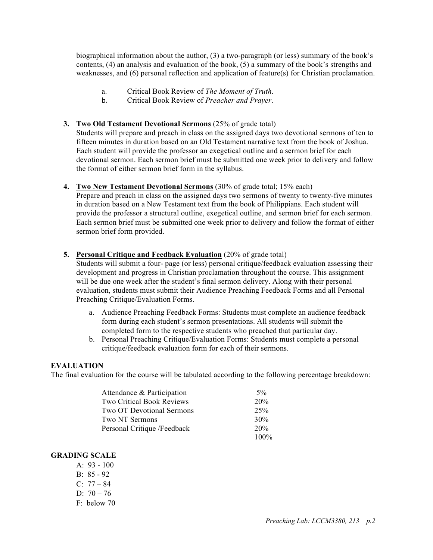biographical information about the author, (3) a two-paragraph (or less) summary of the book's contents, (4) an analysis and evaluation of the book, (5) a summary of the book's strengths and weaknesses, and (6) personal reflection and application of feature(s) for Christian proclamation.

- a. Critical Book Review of *The Moment of Truth*.
- b. Critical Book Review of *Preacher and Prayer*.

# **3. Two Old Testament Devotional Sermons** (25% of grade total)

Students will prepare and preach in class on the assigned days two devotional sermons of ten to fifteen minutes in duration based on an Old Testament narrative text from the book of Joshua. Each student will provide the professor an exegetical outline and a sermon brief for each devotional sermon. Each sermon brief must be submitted one week prior to delivery and follow the format of either sermon brief form in the syllabus.

**4. Two New Testament Devotional Sermons** (30% of grade total; 15% each) Prepare and preach in class on the assigned days two sermons of twenty to twenty-five minutes in duration based on a New Testament text from the book of Philippians. Each student will provide the professor a structural outline, exegetical outline, and sermon brief for each sermon. Each sermon brief must be submitted one week prior to delivery and follow the format of either sermon brief form provided.

# **5. Personal Critique and Feedback Evaluation** (20% of grade total)

Students will submit a four- page (or less) personal critique/feedback evaluation assessing their development and progress in Christian proclamation throughout the course. This assignment will be due one week after the student's final sermon delivery. Along with their personal evaluation, students must submit their Audience Preaching Feedback Forms and all Personal Preaching Critique/Evaluation Forms.

- a. Audience Preaching Feedback Forms: Students must complete an audience feedback form during each student's sermon presentations. All students will submit the completed form to the respective students who preached that particular day.
- b. Personal Preaching Critique/Evaluation Forms: Students must complete a personal critique/feedback evaluation form for each of their sermons.

## **EVALUATION**

The final evaluation for the course will be tabulated according to the following percentage breakdown:

| Attendance & Participation       | $5\%$   |
|----------------------------------|---------|
| <b>Two Critical Book Reviews</b> | 20%     |
| <b>Two OT Devotional Sermons</b> | 25%     |
| Two NT Sermons                   | 30%     |
| Personal Critique /Feedback      | 20%     |
|                                  | $100\%$ |

# **GRADING SCALE**

A:  $93 - 100$ B: 85 - 92  $C: 77 - 84$ D:  $70 - 76$ F: below 70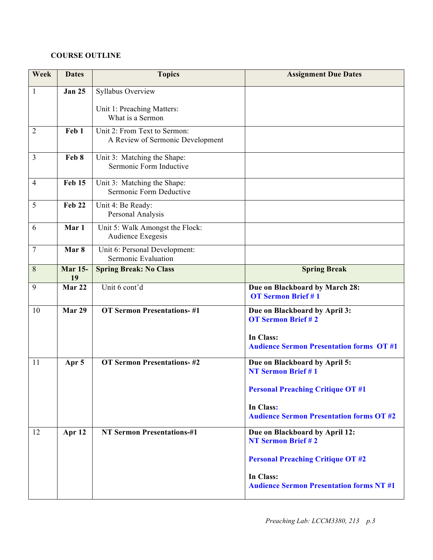# **COURSE OUTLINE**

| Week           | <b>Dates</b>         | <b>Topics</b>                                                    | <b>Assignment Due Dates</b>                                                                                                                                             |
|----------------|----------------------|------------------------------------------------------------------|-------------------------------------------------------------------------------------------------------------------------------------------------------------------------|
| $\mathbf{1}$   | <b>Jan 25</b>        | Syllabus Overview                                                |                                                                                                                                                                         |
|                |                      | Unit 1: Preaching Matters:<br>What is a Sermon                   |                                                                                                                                                                         |
| $\overline{2}$ | Feb 1                | Unit 2: From Text to Sermon:<br>A Review of Sermonic Development |                                                                                                                                                                         |
| $\overline{3}$ | Feb 8                | Unit 3: Matching the Shape:<br>Sermonic Form Inductive           |                                                                                                                                                                         |
| 4              | <b>Feb 15</b>        | Unit 3: Matching the Shape:<br>Sermonic Form Deductive           |                                                                                                                                                                         |
| 5              | Feb 22               | Unit 4: Be Ready:<br>Personal Analysis                           |                                                                                                                                                                         |
| 6              | Mar 1                | Unit 5: Walk Amongst the Flock:<br>Audience Exegesis             |                                                                                                                                                                         |
| $\tau$         | Mar <sub>8</sub>     | Unit 6: Personal Development:<br>Sermonic Evaluation             |                                                                                                                                                                         |
| 8              | <b>Mar 15-</b><br>19 | <b>Spring Break: No Class</b>                                    | <b>Spring Break</b>                                                                                                                                                     |
| 9              | Mar 22               | Unit 6 cont'd                                                    | Due on Blackboard by March 28:<br><b>OT Sermon Brief #1</b>                                                                                                             |
| 10             | Mar 29               | <b>OT Sermon Presentations-#1</b>                                | Due on Blackboard by April 3:<br><b>OT Sermon Brief #2</b><br>In Class:<br><b>Audience Sermon Presentation forms OT #1</b>                                              |
| 11             | Apr 5                | <b>OT Sermon Presentations-#2</b>                                | Due on Blackboard by April 5:<br><b>NT Sermon Brief #1</b><br><b>Personal Preaching Critique OT #1</b><br>In Class:<br><b>Audience Sermon Presentation forms OT #2</b>  |
| 12             | Apr 12               | <b>NT Sermon Presentations-#1</b>                                | Due on Blackboard by April 12:<br><b>NT Sermon Brief #2</b><br><b>Personal Preaching Critique OT #2</b><br>In Class:<br><b>Audience Sermon Presentation forms NT #1</b> |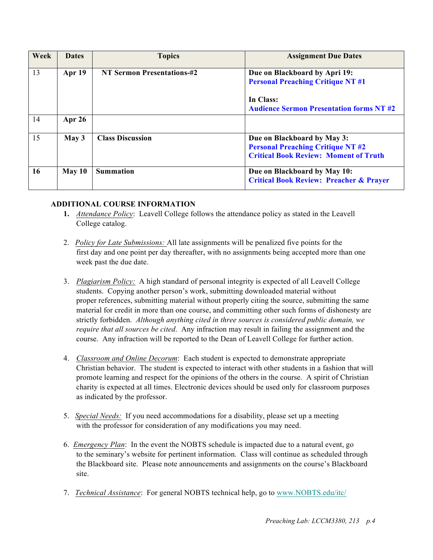| Week | <b>Dates</b>     | <b>Topics</b>                     | <b>Assignment Due Dates</b>                                                                                             |
|------|------------------|-----------------------------------|-------------------------------------------------------------------------------------------------------------------------|
| 13   | Apr 19           | <b>NT Sermon Presentations-#2</b> | Due on Blackboard by Apri 19:<br><b>Personal Preaching Critique NT #1</b><br>In Class:                                  |
|      |                  |                                   | <b>Audience Sermon Presentation forms NT #2</b>                                                                         |
| 14   | Apr $26$         |                                   |                                                                                                                         |
| 15   | May <sub>3</sub> | <b>Class Discussion</b>           | Due on Blackboard by May 3:<br><b>Personal Preaching Critique NT #2</b><br><b>Critical Book Review: Moment of Truth</b> |
| 16   | May 10           | <b>Summation</b>                  | Due on Blackboard by May 10:<br><b>Critical Book Review: Preacher &amp; Prayer</b>                                      |

# **ADDITIONAL COURSE INFORMATION**

- **1.** *Attendance Policy*: Leavell College follows the attendance policy as stated in the Leavell College catalog.
- 2. *Policy for Late Submissions:* All late assignments will be penalized five points for the first day and one point per day thereafter, with no assignments being accepted more than one week past the due date.
- 3. *Plagiarism Policy:* A high standard of personal integrity is expected of all Leavell College students. Copying another person's work, submitting downloaded material without proper references, submitting material without properly citing the source, submitting the same material for credit in more than one course, and committing other such forms of dishonesty are strictly forbidden. *Although anything cited in three sources is considered public domain, we require that all sources be cited*. Any infraction may result in failing the assignment and the course. Any infraction will be reported to the Dean of Leavell College for further action.
- 4. *Classroom and Online Decorum*: Each student is expected to demonstrate appropriate Christian behavior. The student is expected to interact with other students in a fashion that will promote learning and respect for the opinions of the others in the course. A spirit of Christian charity is expected at all times. Electronic devices should be used only for classroom purposes as indicated by the professor.
- 5. *Special Needs:* If you need accommodations for a disability, please set up a meeting with the professor for consideration of any modifications you may need.
- 6. *Emergency Plan*: In the event the NOBTS schedule is impacted due to a natural event, go to the seminary's website for pertinent information. Class will continue as scheduled through the Blackboard site. Please note announcements and assignments on the course's Blackboard site.
- 7. *Technical Assistance*: For general NOBTS technical help, go to www.NOBTS.edu/itc/